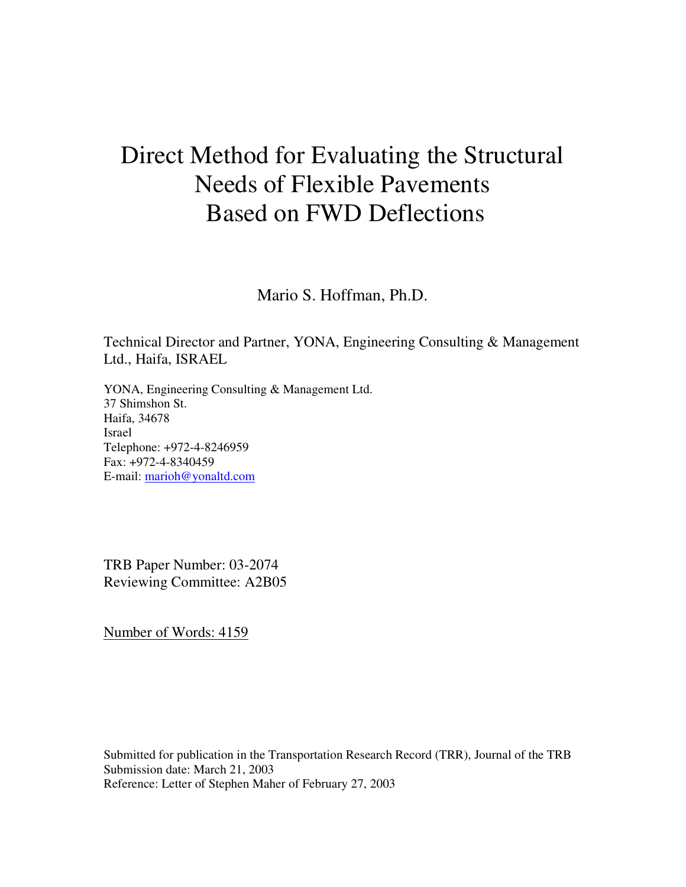# Direct Method for Evaluating the Structural Needs of Flexible Pavements Based on FWD Deflections

Mario S. Hoffman, Ph.D.

Technical Director and Partner, YONA, Engineering Consulting & Management Ltd., Haifa, ISRAEL

YONA, Engineering Consulting & Management Ltd. 37 Shimshon St. Haifa, 34678 Israel Telephone: +972-4-8246959 Fax: +972-4-8340459 E-mail: marioh@yonaltd.com

TRB Paper Number: 03-2074 Reviewing Committee: A2B05

Number of Words: 4159

Submitted for publication in the Transportation Research Record (TRR), Journal of the TRB Submission date: March 21, 2003 Reference: Letter of Stephen Maher of February 27, 2003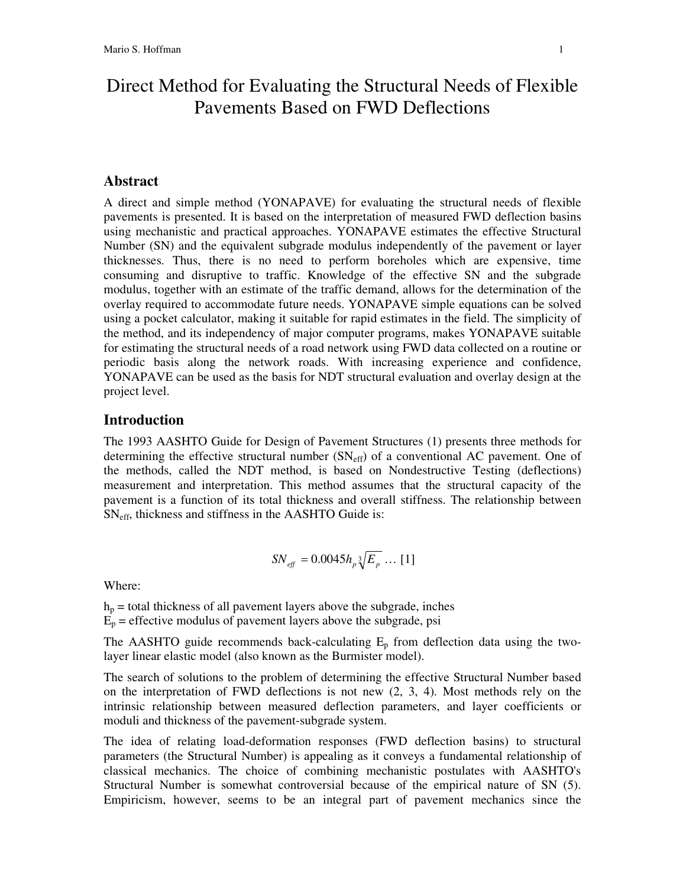# Direct Method for Evaluating the Structural Needs of Flexible Pavements Based on FWD Deflections

#### **Abstract**

A direct and simple method (YONAPAVE) for evaluating the structural needs of flexible pavements is presented. It is based on the interpretation of measured FWD deflection basins using mechanistic and practical approaches. YONAPAVE estimates the effective Structural Number (SN) and the equivalent subgrade modulus independently of the pavement or layer thicknesses. Thus, there is no need to perform boreholes which are expensive, time consuming and disruptive to traffic. Knowledge of the effective SN and the subgrade modulus, together with an estimate of the traffic demand, allows for the determination of the overlay required to accommodate future needs. YONAPAVE simple equations can be solved using a pocket calculator, making it suitable for rapid estimates in the field. The simplicity of the method, and its independency of major computer programs, makes YONAPAVE suitable for estimating the structural needs of a road network using FWD data collected on a routine or periodic basis along the network roads. With increasing experience and confidence, YONAPAVE can be used as the basis for NDT structural evaluation and overlay design at the project level.

#### **Introduction**

The 1993 AASHTO Guide for Design of Pavement Structures (1) presents three methods for determining the effective structural number  $(SN_{\text{eff}})$  of a conventional AC pavement. One of the methods, called the NDT method, is based on Nondestructive Testing (deflections) measurement and interpretation. This method assumes that the structural capacity of the pavement is a function of its total thickness and overall stiffness. The relationship between SNeff , thickness and stiffness in the AASHTO Guide is:

$$
SN_{\text{eff}} = 0.0045 h_p \sqrt[3]{E_p} \dots [1]
$$

Where:

 $h_p$  = total thickness of all pavement layers above the subgrade, inches

 $E_p$  = effective modulus of pavement layers above the subgrade, psi

The AASHTO guide recommends back-calculating  $E_p$  from deflection data using the twolayer linear elastic model (also known as the Burmister model).

The search of solutions to the problem of determining the effective Structural Number based on the interpretation of FWD deflections is not new  $(2, 3, 4)$ . Most methods rely on the intrinsic relationship between measured deflection parameters, and layer coefficients or moduli and thickness of the pavement-subgrade system.

The idea of relating load-deformation responses (FWD deflection basins) to structural parameters (the Structural Number) is appealing as it conveys a fundamental relationship of classical mechanics. The choice of combining mechanistic postulates with AASHTO's Structural Number is somewhat controversial because of the empirical nature of SN (5). Empiricism, however, seems to be an integral part of pavement mechanics since the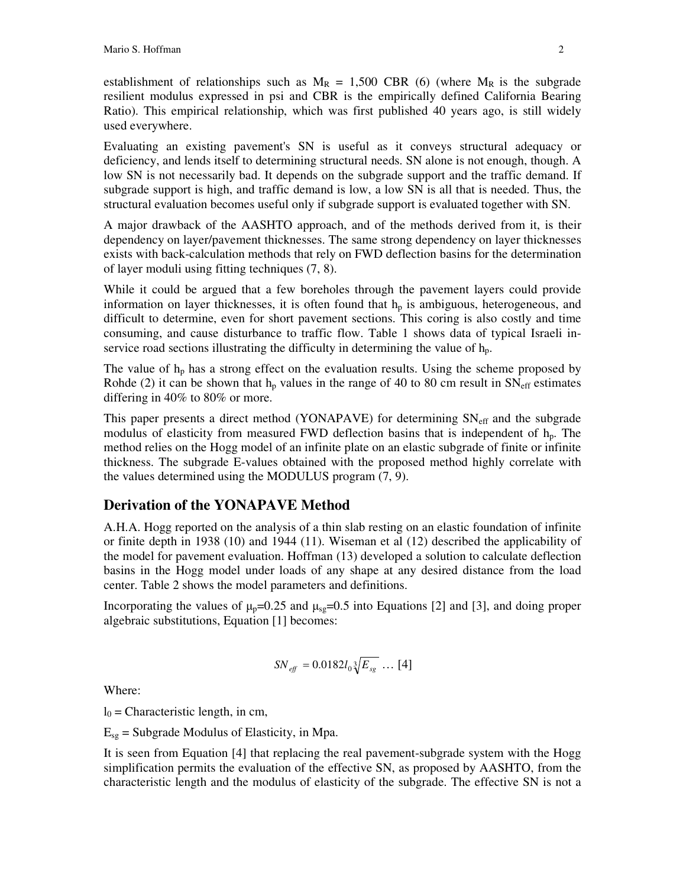establishment of relationships such as  $M_R = 1,500$  CBR (6) (where  $M_R$  is the subgrade resilient modulus expressed in psi and CBR is the empirically defined California Bearing Ratio). This empirical relationship, which was first published 40 years ago, is still widely used everywhere.

Evaluating an existing pavement's SN is useful as it conveys structural adequacy or deficiency, and lends itself to determining structural needs. SN alone is not enough, though. A low SN is not necessarily bad. It depends on the subgrade support and the traffic demand. If subgrade support is high, and traffic demand is low, a low SN is all that is needed. Thus, the structural evaluation becomes useful only if subgrade support is evaluated together with SN.

A major drawback of the AASHTO approach, and of the methods derived from it, is their dependency on layer/pavement thicknesses. The same strong dependency on layer thicknesses exists with back-calculation methods that rely on FWD deflection basins for the determination of layer moduli using fitting techniques (7, 8).

While it could be argued that a few boreholes through the pavement layers could provide information on layer thicknesses, it is often found that  $h<sub>p</sub>$  is ambiguous, heterogeneous, and difficult to determine, even for short pavement sections. This coring is also costly and time consuming, and cause disturbance to traffic flow. Table 1 shows data of typical Israeli inservice road sections illustrating the difficulty in determining the value of  $h_p$ .

The value of  $h_p$  has a strong effect on the evaluation results. Using the scheme proposed by Rohde (2) it can be shown that  $h<sub>p</sub>$  values in the range of 40 to 80 cm result in  $SN<sub>eff</sub>$  estimates differing in 40% to 80% or more.

This paper presents a direct method (YONAPAVE) for determining  $SN_{\text{eff}}$  and the subgrade modulus of elasticity from measured FWD deflection basins that is independent of  $h_p$ . The method relies on the Hogg model of an infinite plate on an elastic subgrade of finite or infinite thickness. The subgrade E-values obtained with the proposed method highly correlate with the values determined using the MODULUS program (7, 9).

### **Derivation of the YONAPAVE Method**

A.H.A. Hogg reported on the analysis of a thin slab resting on an elastic foundation of infinite or finite depth in 1938 (10) and 1944 (11). Wiseman et al (12) described the applicability of the model for pavement evaluation. Hoffman (13) developed a solution to calculate deflection basins in the Hogg model under loads of any shape at any desired distance from the load center. Table 2 shows the model parameters and definitions.

Incorporating the values of  $\mu_p=0.25$  and  $\mu_{sg}=0.5$  into Equations [2] and [3], and doing proper algebraic substitutions, Equation [1] becomes:

$$
SN_{\text{eff}} = 0.0182 l_0 \sqrt[3]{E_{sg}} \dots [4]
$$

Where:

 $l_0$  = Characteristic length, in cm,

 $E_{sg}$  = Subgrade Modulus of Elasticity, in Mpa.

It is seen from Equation [4] that replacing the real pavement-subgrade system with the Hogg simplification permits the evaluation of the effective SN, as proposed by AASHTO, from the characteristic length and the modulus of elasticity of the subgrade. The effective SN is not a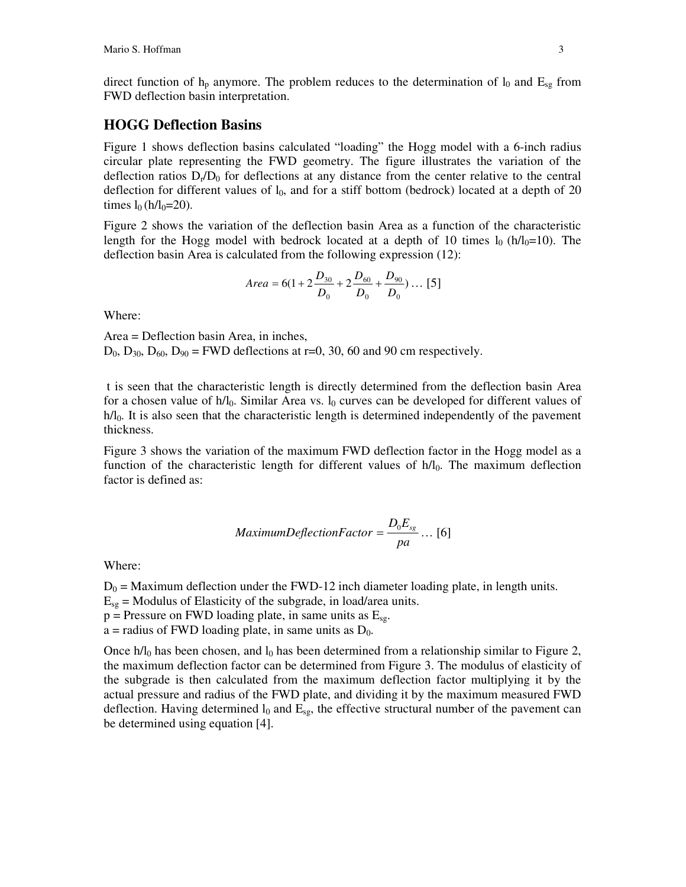direct function of  $h_p$  anymore. The problem reduces to the determination of  $l_0$  and  $E_{sg}$  from FWD deflection basin interpretation.

#### **HOGG Deflection Basins**

Figure 1 shows deflection basins calculated "loading" the Hogg model with a 6-inch radius circular plate representing the FWD geometry. The figure illustrates the variation of the deflection ratios  $D_f/D_0$  for deflections at any distance from the center relative to the central deflection for different values of  $l_0$ , and for a stiff bottom (bedrock) located at a depth of 20 times  $l_0$  (h/l<sub>0</sub>=20).

Figure 2 shows the variation of the deflection basin Area as a function of the characteristic length for the Hogg model with bedrock located at a depth of 10 times  $l_0$  (h/l<sub>0</sub>=10). The deflection basin Area is calculated from the following expression (12):

Area = 6(1 + 2
$$
\frac{D_{30}}{D_0}
$$
 + 2 $\frac{D_{60}}{D_0}$  +  $\frac{D_{90}}{D_0}$ ) ... [5]

Where:

Area = Deflection basin Area, in inches,  $D_0$ ,  $D_{30}$ ,  $D_{60}$ ,  $D_{90}$  = FWD deflections at r=0, 30, 60 and 90 cm respectively.

t is seen that the characteristic length is directly determined from the deflection basin Area for a chosen value of  $h/l_0$ . Similar Area vs.  $l_0$  curves can be developed for different values of  $h/l<sub>0</sub>$ . It is also seen that the characteristic length is determined independently of the pavement thickness.

Figure 3 shows the variation of the maximum FWD deflection factor in the Hogg model as a function of the characteristic length for different values of  $h/l_0$ . The maximum deflection factor is defined as:

$$
Maximum DefinitionFactor = \frac{D_0 E_{sg}}{pa} \dots [6]
$$

Where:

 $D_0$  = Maximum deflection under the FWD-12 inch diameter loading plate, in length units.

 $E_{sg}$  = Modulus of Elasticity of the subgrade, in load/area units.

 $p =$  Pressure on FWD loading plate, in same units as  $E_{sg}$ .

a = radius of FWD loading plate, in same units as  $D_0$ .

Once h/ $l_0$  has been chosen, and  $l_0$  has been determined from a relationship similar to Figure 2, the maximum deflection factor can be determined from Figure 3. The modulus of elasticity of the subgrade is then calculated from the maximum deflection factor multiplying it by the actual pressure and radius of the FWD plate, and dividing it by the maximum measured FWD deflection. Having determined  $l_0$  and  $E_{sg}$ , the effective structural number of the pavement can be determined using equation [4].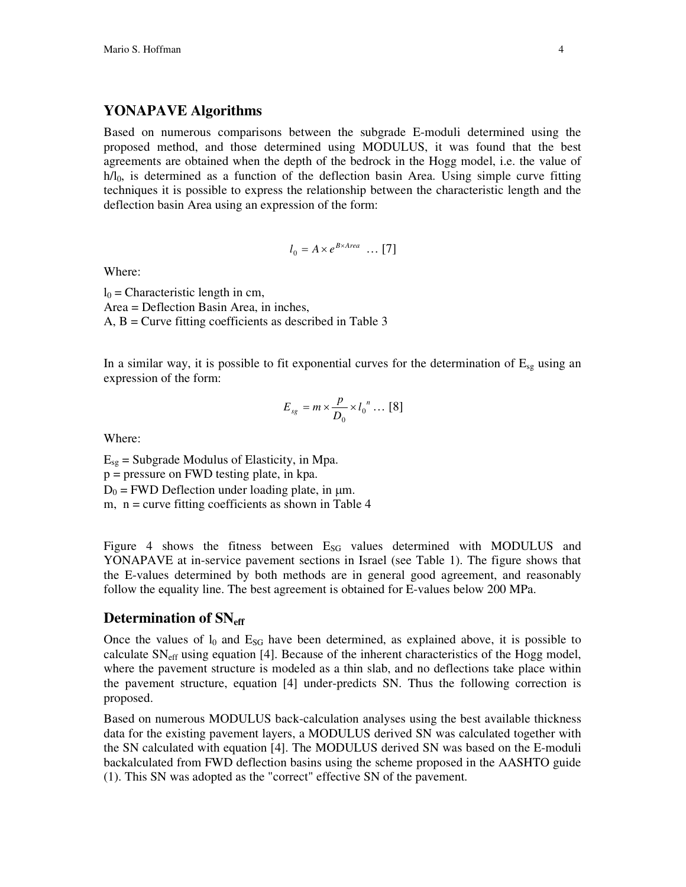#### **YONAPAVE Algorithms**

Based on numerous comparisons between the subgrade E-moduli determined using the proposed method, and those determined using MODULUS, it was found that the best agreements are obtained when the depth of the bedrock in the Hogg model, i.e. the value of  $h/I_0$ , is determined as a function of the deflection basin Area. Using simple curve fitting techniques it is possible to express the relationship between the characteristic length and the deflection basin Area using an expression of the form:

$$
l_0 = A \times e^{B \times Area} \dots [7]
$$

Where:

 $l_0$  = Characteristic length in cm, Area = Deflection Basin Area, in inches, A, B = Curve fitting coefficients as described in Table 3

In a similar way, it is possible to fit exponential curves for the determination of  $E_{sg}$  using an expression of the form:

$$
E_{sg} = m \times \frac{p}{D_0} \times l_0^{n} \dots [8]
$$

Where:

 $E_{sg}$  = Subgrade Modulus of Elasticity, in Mpa. p = pressure on FWD testing plate, in kpa.  $D_0$  = FWD Deflection under loading plate, in  $\mu$ m. m,  $n =$  curve fitting coefficients as shown in Table 4

Figure 4 shows the fitness between  $E_{SG}$  values determined with MODULUS and YONAPAVE at in-service pavement sections in Israel (see Table 1). The figure shows that the E-values determined by both methods are in general good agreement, and reasonably follow the equality line. The best agreement is obtained for E-values below 200 MPa.

#### **Determination of SNeff**

Once the values of  $l_0$  and  $E_{SG}$  have been determined, as explained above, it is possible to calculate  $SN_{\text{eff}}$  using equation [4]. Because of the inherent characteristics of the Hogg model, where the pavement structure is modeled as a thin slab, and no deflections take place within the pavement structure, equation [4] under-predicts SN. Thus the following correction is proposed.

Based on numerous MODULUS back-calculation analyses using the best available thickness data for the existing pavement layers, a MODULUS derived SN was calculated together with the SN calculated with equation [4]. The MODULUS derived SN was based on the E-moduli backalculated from FWD deflection basins using the scheme proposed in the AASHTO guide (1). This SN was adopted as the "correct" effective SN of the pavement.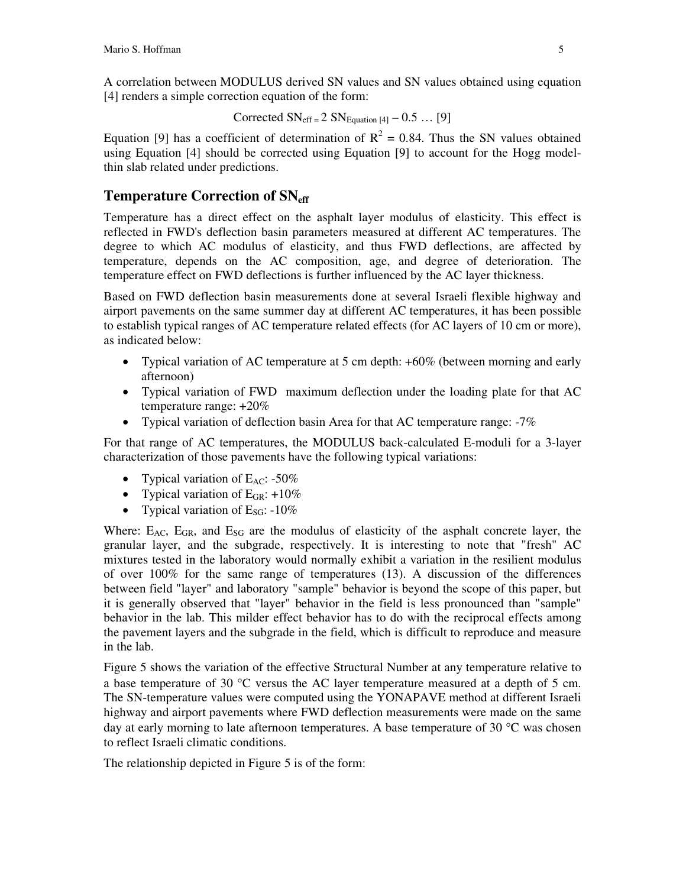A correlation between MODULUS derived SN values and SN values obtained using equation [4] renders a simple correction equation of the form:

Corrected 
$$
SN_{eff} = 2 SN_{Equation [4]} - 0.5 ... [9]
$$

Equation [9] has a coefficient of determination of  $R^2 = 0.84$ . Thus the SN values obtained using Equation [4] should be corrected using Equation [9] to account for the Hogg modelthin slab related under predictions.

#### **Temperature Correction of SNeff**

Temperature has a direct effect on the asphalt layer modulus of elasticity. This effect is reflected in FWD's deflection basin parameters measured at different AC temperatures. The degree to which AC modulus of elasticity, and thus FWD deflections, are affected by temperature, depends on the AC composition, age, and degree of deterioration. The temperature effect on FWD deflections is further influenced by the AC layer thickness.

Based on FWD deflection basin measurements done at several Israeli flexible highway and airport pavements on the same summer day at different AC temperatures, it has been possible to establish typical ranges of AC temperature related effects (for AC layers of 10 cm or more), as indicated below:

- Typical variation of AC temperature at 5 cm depth: +60% (between morning and early afternoon)
- Typical variation of FWD maximum deflection under the loading plate for that AC temperature range: +20%
- Typical variation of deflection basin Area for that AC temperature range: -7%

For that range of AC temperatures, the MODULUS back-calculated E-moduli for a 3-layer characterization of those pavements have the following typical variations:

- Typical variation of  $E_{AC}$ : -50%
- Typical variation of  $E_{GR}: +10\%$
- Typical variation of  $E_{SG}$ : -10%

Where:  $E_{AC}$ ,  $E_{GR}$ , and  $E_{SG}$  are the modulus of elasticity of the asphalt concrete layer, the granular layer, and the subgrade, respectively. It is interesting to note that "fresh" AC mixtures tested in the laboratory would normally exhibit a variation in the resilient modulus of over 100% for the same range of temperatures (13). A discussion of the differences between field "layer" and laboratory "sample" behavior is beyond the scope of this paper, but it is generally observed that "layer" behavior in the field is less pronounced than "sample" behavior in the lab. This milder effect behavior has to do with the reciprocal effects among the pavement layers and the subgrade in the field, which is difficult to reproduce and measure in the lab.

Figure 5 shows the variation of the effective Structural Number at any temperature relative to a base temperature of 30  $^{\circ}$ C versus the AC layer temperature measured at a depth of 5 cm. The SN-temperature values were computed using the YONAPAVE method at different Israeli highway and airport pavements where FWD deflection measurements were made on the same day at early morning to late afternoon temperatures. A base temperature of 30  $^{\circ}$ C was chosen to reflect Israeli climatic conditions.

The relationship depicted in Figure 5 is of the form: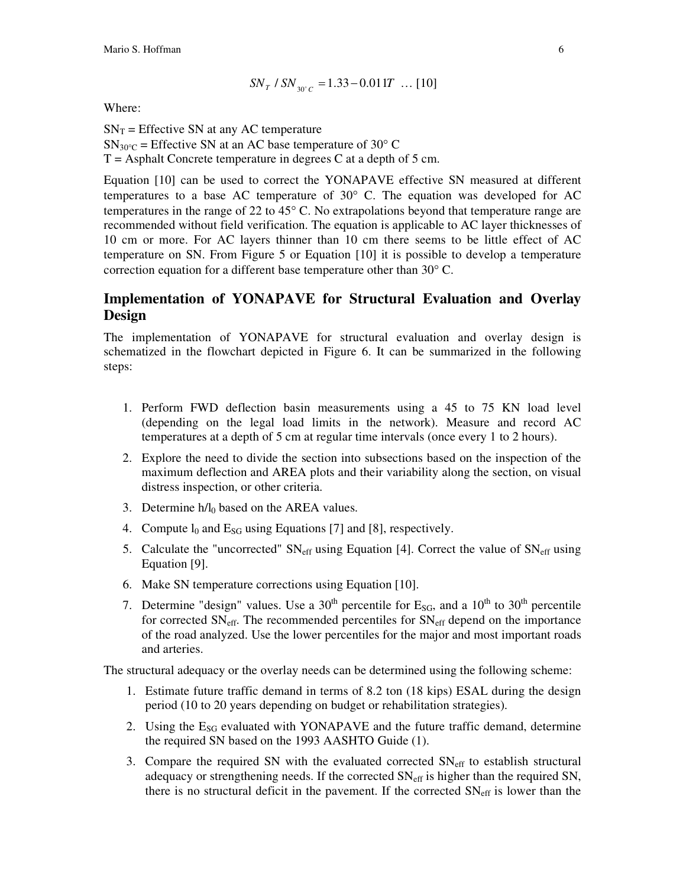$$
SN_{T} / SN_{30^{\circ}C} = 1.33 - 0.011T \dots [10]
$$

Where:

 $SN_T$  = Effective SN at any AC temperature  $SN_{30\degree C}$  = Effective SN at an AC base temperature of 30 $\degree$  C  $T =$  Asphalt Concrete temperature in degrees C at a depth of 5 cm.

Equation [10] can be used to correct the YONAPAVE effective SN measured at different temperatures to a base AC temperature of  $30^{\circ}$  C. The equation was developed for AC temperatures in the range of 22 to  $45^{\circ}$  C. No extrapolations beyond that temperature range are recommended without field verification. The equation is applicable to AC layer thicknesses of 10 cm or more. For AC layers thinner than 10 cm there seems to be little effect of AC temperature on SN. From Figure 5 or Equation [10] it is possible to develop a temperature correction equation for a different base temperature other than  $30^{\circ}$  C.

#### **Implementation of YONAPAVE for Structural Evaluation and Overlay Design**

The implementation of YONAPAVE for structural evaluation and overlay design is schematized in the flowchart depicted in Figure 6. It can be summarized in the following steps:

- 1. Perform FWD deflection basin measurements using a 45 to 75 KN load level (depending on the legal load limits in the network). Measure and record AC temperatures at a depth of 5 cm at regular time intervals (once every 1 to 2 hours).
- 2. Explore the need to divide the section into subsections based on the inspection of the maximum deflection and AREA plots and their variability along the section, on visual distress inspection, or other criteria.
- 3. Determine  $h/l_0$  based on the AREA values.
- 4. Compute  $l_0$  and  $E_{SG}$  using Equations [7] and [8], respectively.
- 5. Calculate the "uncorrected"  $SN_{\text{eff}}$  using Equation [4]. Correct the value of  $SN_{\text{eff}}$  using Equation [9].
- 6. Make SN temperature corrections using Equation [10].
- 7. Determine "design" values. Use a 30<sup>th</sup> percentile for  $E_{SG}$ , and a 10<sup>th</sup> to 30<sup>th</sup> percentile for corrected  $SN_{\text{eff}}$ . The recommended percentiles for  $SN_{\text{eff}}$  depend on the importance of the road analyzed. Use the lower percentiles for the major and most important roads and arteries.

The structural adequacy or the overlay needs can be determined using the following scheme:

- 1. Estimate future traffic demand in terms of 8.2 ton (18 kips) ESAL during the design period (10 to 20 years depending on budget or rehabilitation strategies).
- 2. Using the  $E_{SG}$  evaluated with YONAPAVE and the future traffic demand, determine the required SN based on the 1993 AASHTO Guide (1).
- 3. Compare the required SN with the evaluated corrected  $SN_{\text{eff}}$  to establish structural adequacy or strengthening needs. If the corrected  $SN_{\text{eff}}$  is higher than the required SN, there is no structural deficit in the pavement. If the corrected  $SN_{\text{eff}}$  is lower than the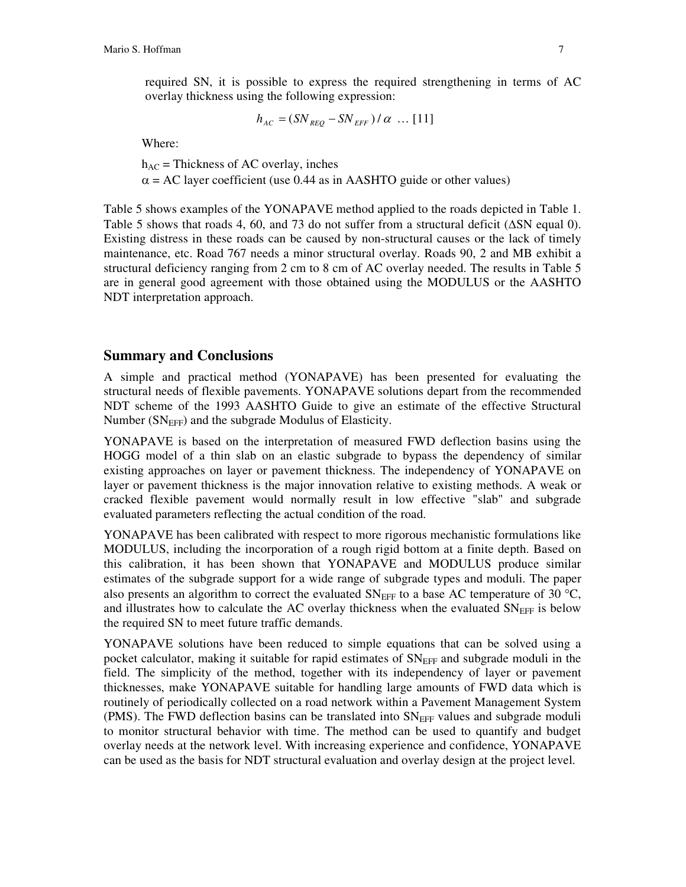required SN, it is possible to express the required strengthening in terms of AC overlay thickness using the following expression:

$$
h_{AC} = (SN_{REQ} - SN_{EFF}) / \alpha \dots [11]
$$

Where:

 $h_{AC}$  = Thickness of AC overlay, inches  $\alpha$  = AC layer coefficient (use 0.44 as in AASHTO guide or other values)

Table 5 shows examples of the YONAPAVE method applied to the roads depicted in Table 1. Table 5 shows that roads 4, 60, and 73 do not suffer from a structural deficit  $(ASN \text{ equal } 0)$ . Existing distress in these roads can be caused by non-structural causes or the lack of timely maintenance, etc. Road 767 needs a minor structural overlay. Roads 90, 2 and MB exhibit a structural deficiency ranging from 2 cm to 8 cm of AC overlay needed. The results in Table 5 are in general good agreement with those obtained using the MODULUS or the AASHTO NDT interpretation approach.

#### **Summary and Conclusions**

A simple and practical method (YONAPAVE) has been presented for evaluating the structural needs of flexible pavements. YONAPAVE solutions depart from the recommended NDT scheme of the 1993 AASHTO Guide to give an estimate of the effective Structural Number ( $SN_{EFF}$ ) and the subgrade Modulus of Elasticity.

YONAPAVE is based on the interpretation of measured FWD deflection basins using the HOGG model of a thin slab on an elastic subgrade to bypass the dependency of similar existing approaches on layer or pavement thickness. The independency of YONAPAVE on layer or pavement thickness is the major innovation relative to existing methods. A weak or cracked flexible pavement would normally result in low effective "slab" and subgrade evaluated parameters reflecting the actual condition of the road.

YONAPAVE has been calibrated with respect to more rigorous mechanistic formulations like MODULUS, including the incorporation of a rough rigid bottom at a finite depth. Based on this calibration, it has been shown that YONAPAVE and MODULUS produce similar estimates of the subgrade support for a wide range of subgrade types and moduli. The paper also presents an algorithm to correct the evaluated  $SN_{EFF}$  to a base AC temperature of 30 °C, and illustrates how to calculate the AC overlay thickness when the evaluated  $SN_{EFF}$  is below the required SN to meet future traffic demands.

YONAPAVE solutions have been reduced to simple equations that can be solved using a pocket calculator, making it suitable for rapid estimates of  $SN_{EFF}$  and subgrade moduli in the field. The simplicity of the method, together with its independency of layer or pavement thicknesses, make YONAPAVE suitable for handling large amounts of FWD data which is routinely of periodically collected on a road network within a Pavement Management System (PMS). The FWD deflection basins can be translated into  $SN_{EFF}$  values and subgrade moduli to monitor structural behavior with time. The method can be used to quantify and budget overlay needs at the network level. With increasing experience and confidence, YONAPAVE can be used as the basis for NDT structural evaluation and overlay design at the project level.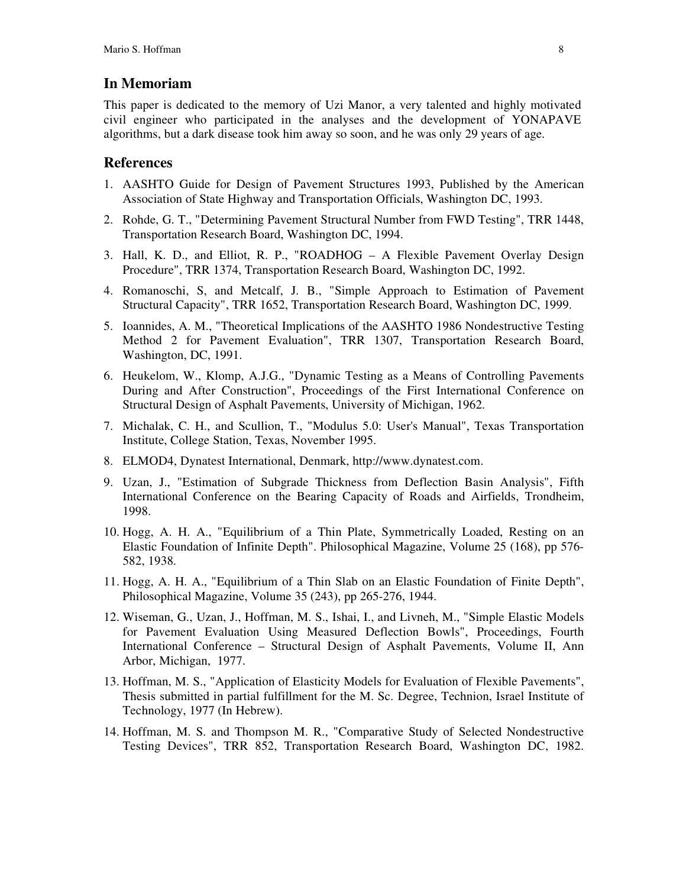#### **In Memoriam**

This paper is dedicated to the memory of Uzi Manor, a very talented and highly motivated civil engineer who participated in the analyses and the development of YONAPAVE algorithms, but a dark disease took him away so soon, and he was only 29 years of age.

#### **References**

- 1. AASHTO Guide for Design of Pavement Structures 1993, Published by the American Association of State Highway and Transportation Officials, Washington DC, 1993.
- 2. Rohde, G. T., "Determining Pavement Structural Number from FWD Testing", TRR 1448, Transportation Research Board, Washington DC, 1994.
- 3. Hall, K. D., and Elliot, R. P., "ROADHOG A Flexible Pavement Overlay Design Procedure", TRR 1374, Transportation Research Board, Washington DC, 1992.
- 4. Romanoschi, S, and Metcalf, J. B., "Simple Approach to Estimation of Pavement Structural Capacity", TRR 1652, Transportation Research Board, Washington DC, 1999.
- 5. Ioannides, A. M., "Theoretical Implications of the AASHTO 1986 Nondestructive Testing Method 2 for Pavement Evaluation", TRR 1307, Transportation Research Board, Washington, DC, 1991.
- 6. Heukelom, W., Klomp, A.J.G., "Dynamic Testing as a Means of Controlling Pavements During and After Construction", Proceedings of the First International Conference on Structural Design of Asphalt Pavements, University of Michigan, 1962.
- 7. Michalak, C. H., and Scullion, T., "Modulus 5.0: User's Manual", Texas Transportation Institute, College Station, Texas, November 1995.
- 8. ELMOD4, Dynatest International, Denmark, http://www.dynatest.com.
- 9. Uzan, J., "Estimation of Subgrade Thickness from Deflection Basin Analysis", Fifth International Conference on the Bearing Capacity of Roads and Airfields, Trondheim, 1998.
- 10. Hogg, A. H. A., "Equilibrium of a Thin Plate, Symmetrically Loaded, Resting on an Elastic Foundation of Infinite Depth". Philosophical Magazine, Volume 25 (168), pp 576- 582, 1938.
- 11. Hogg, A. H. A., "Equilibrium of a Thin Slab on an Elastic Foundation of Finite Depth", Philosophical Magazine, Volume 35 (243), pp 265-276, 1944.
- 12. Wiseman, G., Uzan, J., Hoffman, M. S., Ishai, I., and Livneh, M., "Simple Elastic Models for Pavement Evaluation Using Measured Deflection Bowls", Proceedings, Fourth International Conference – Structural Design of Asphalt Pavements, Volume II, Ann Arbor, Michigan, 1977.
- 13. Hoffman, M. S., "Application of Elasticity Models for Evaluation of Flexible Pavements", Thesis submitted in partial fulfillment for the M. Sc. Degree, Technion, Israel Institute of Technology, 1977 (In Hebrew).
- 14. Hoffman, M. S. and Thompson M. R., "Comparative Study of Selected Nondestructive Testing Devices", TRR 852, Transportation Research Board, Washington DC, 1982.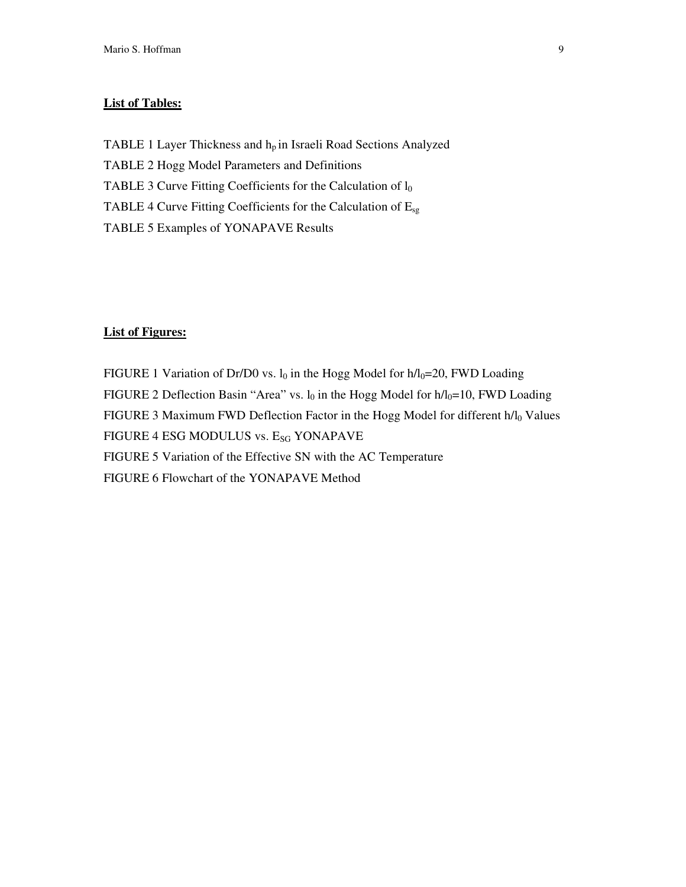#### **List of Tables:**

TABLE 1 Layer Thickness and h<sub>p</sub> in Israeli Road Sections Analyzed TABLE 2 Hogg Model Parameters and Definitions TABLE 3 Curve Fitting Coefficients for the Calculation of  $l_0$ TABLE 4 Curve Fitting Coefficients for the Calculation of  $E_{sg}$ TABLE 5 Examples of YONAPAVE Results

#### **List of Figures:**

FIGURE 1 Variation of Dr/D0 vs.  $l_0$  in the Hogg Model for  $h/l_0=20$ , FWD Loading FIGURE 2 Deflection Basin "Area" vs.  $l_0$  in the Hogg Model for  $h/l_0=10$ , FWD Loading FIGURE 3 Maximum FWD Deflection Factor in the Hogg Model for different h/l<sub>0</sub> Values FIGURE 4 ESG MODULUS vs. E<sub>SG</sub> YONAPAVE FIGURE 5 Variation of the Effective SN with the AC Temperature FIGURE 6 Flowchart of the YONAPAVE Method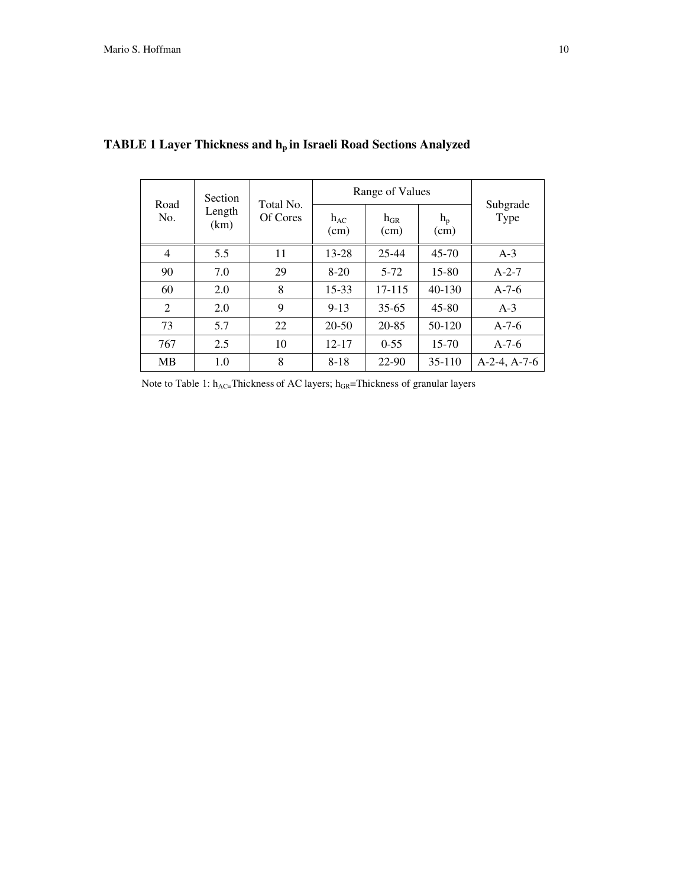| Road<br>No.    | Section<br>Length<br>(km) | Total No.<br>Of Cores | Range of Values  |                  |                 |                  |
|----------------|---------------------------|-----------------------|------------------|------------------|-----------------|------------------|
|                |                           |                       | $h_{AC}$<br>(cm) | $h_{GR}$<br>(cm) | $h_{p}$<br>(cm) | Subgrade<br>Type |
| 4              | 5.5                       | 11                    | $13 - 28$        | $25 - 44$        | $45 - 70$       | $A-3$            |
| 90             | 7.0                       | 29                    | $8-20$           | $5 - 72$         | 15-80           | $A-2-7$          |
| 60             | 2.0                       | 8                     | 15-33            | 17-115           | $40 - 130$      | $A-7-6$          |
| $\mathfrak{D}$ | 2.0                       | 9                     | $9 - 13$         | $35 - 65$        | $45 - 80$       | $A-3$            |
| 73             | 5.7                       | 22                    | 20-50            | 20-85            | 50-120          | $A-7-6$          |
| 767            | 2.5                       | 10                    | $12 - 17$        | $0 - 55$         | 15-70           | $A-7-6$          |
| MВ             | 1.0                       | 8                     | $8 - 18$         | 22-90            | 35-110          | $A-2-4, A-7-6$   |

# **TABLE 1 Layer Thickness and h<sup>p</sup> in Israeli Road Sections Analyzed**

Note to Table 1:  $h_{AC}$ =Thickness of AC layers;  $h_{GR}$ =Thickness of granular layers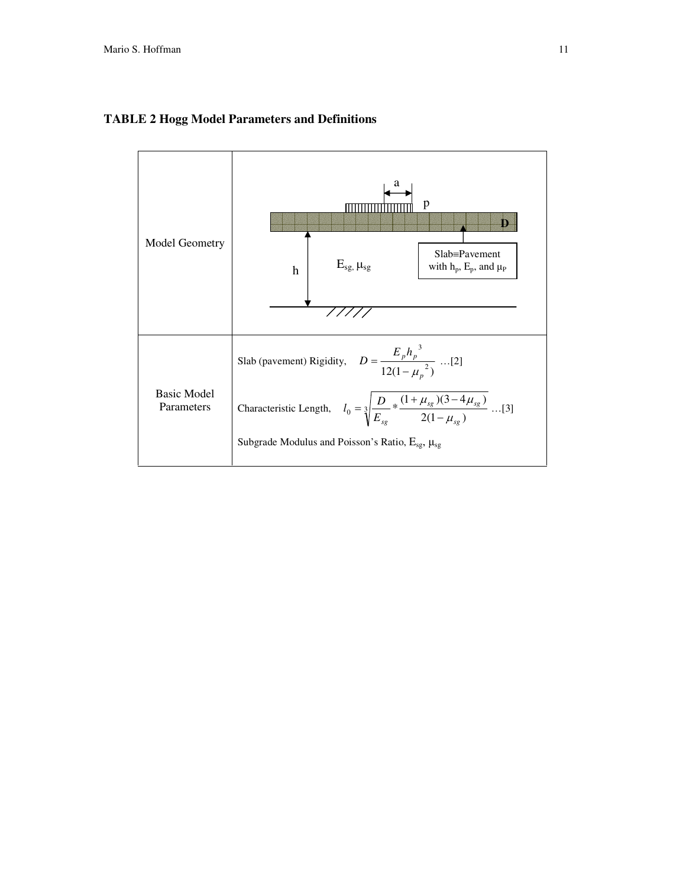

#### **TABLE 2 Hogg Model Parameters and Definitions**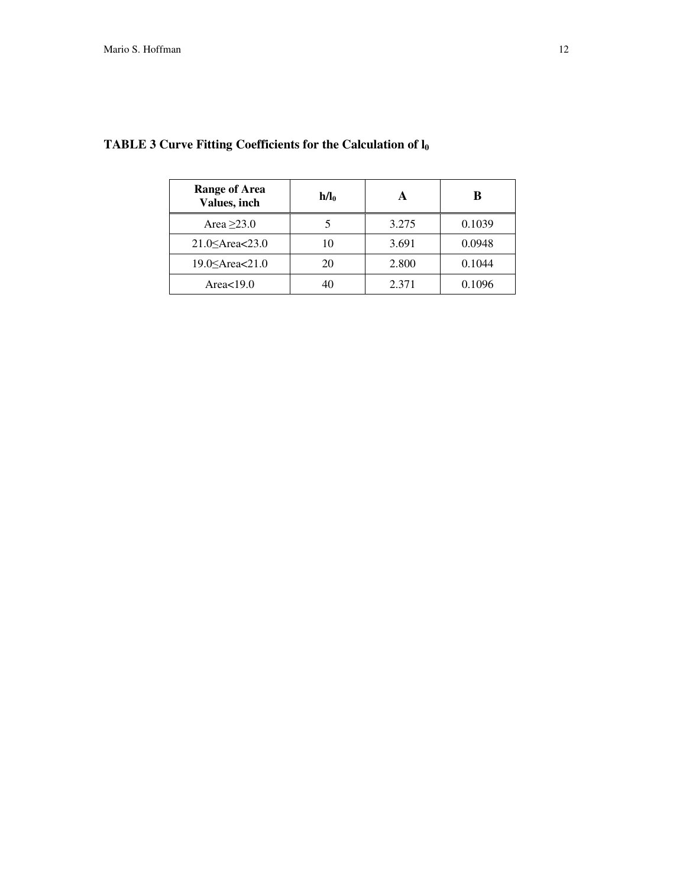| <b>Range of Area</b><br>Values, inch | $h/l_0$ |       | ĸ      |  |
|--------------------------------------|---------|-------|--------|--|
| Area $\geq$ 23.0                     |         | 3.275 | 0.1039 |  |
| 21.0 $\leq$ Area $<$ 23.0            | 10      | 3.691 | 0.0948 |  |
| 19.0 $\leq$ Area $<$ 21.0            | 20      | 2.800 | 0.1044 |  |
| Area $<$ 19.0                        | 40      | 2.371 | 0.1096 |  |

### **TABLE 3 Curve Fitting Coefficients for the Calculation of l<sup>0</sup>**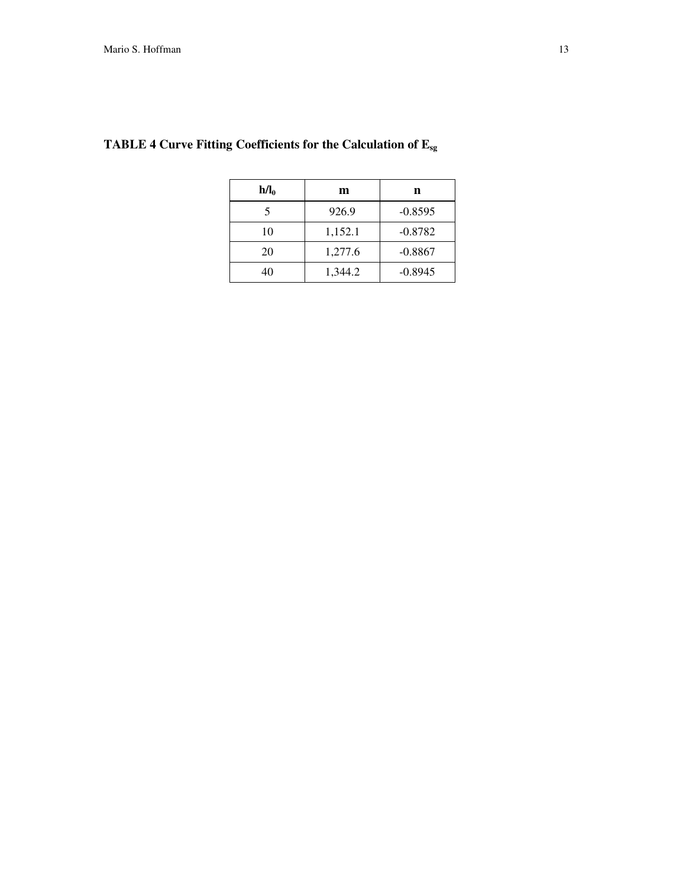| $h/l_0$ | m       | n         |  |  |
|---------|---------|-----------|--|--|
| 5       | 926.9   | $-0.8595$ |  |  |
| 10      | 1,152.1 | $-0.8782$ |  |  |
| 20      | 1,277.6 | $-0.8867$ |  |  |
| 40      | 1,344.2 | $-0.8945$ |  |  |

## **TABLE 4 Curve Fitting Coefficients for the Calculation of Esg**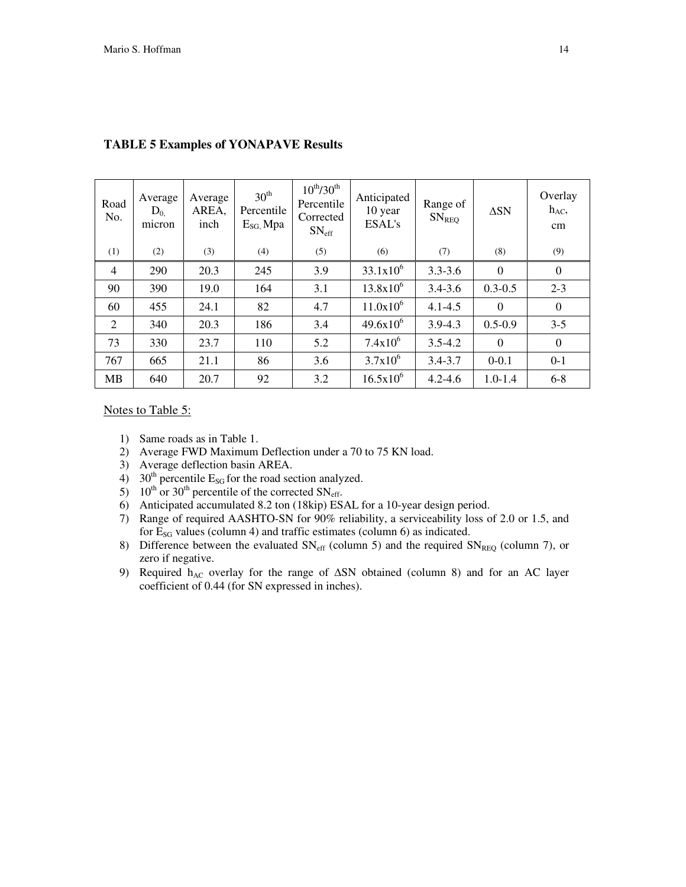| Road<br>No.    | Average<br>$D_{0}$<br>micron | Average<br>AREA,<br>inch | $30^{\text{th}}$<br>Percentile<br>$E_{SG}$ Mpa | $10^{th}/30^{th}$<br>Percentile<br>Corrected<br>$SN_{\text{eff}}$ | Anticipated<br>10 year<br>ESAL's | Range of<br>SN <sub>REQ</sub> | $\Delta SN$ | Overlay<br>$h_{AC}$<br>cm |
|----------------|------------------------------|--------------------------|------------------------------------------------|-------------------------------------------------------------------|----------------------------------|-------------------------------|-------------|---------------------------|
| (1)            | (2)                          | (3)                      | (4)                                            | (5)                                                               | (6)                              | (7)                           | (8)         | (9)                       |
| $\overline{4}$ | 290                          | 20.3                     | 245                                            | 3.9                                                               | $33.1x10^{6}$                    | $3.3 - 3.6$                   | $\Omega$    | $\mathbf{0}$              |
| 90             | 390                          | 19.0                     | 164                                            | 3.1                                                               | $13.8x10^6$                      | $3.4 - 3.6$                   | $0.3 - 0.5$ | $2 - 3$                   |
| 60             | 455                          | 24.1                     | 82                                             | 4.7                                                               | $11.0x10^6$                      | $4.1 - 4.5$                   | $\Omega$    | $\theta$                  |
| 2              | 340                          | 20.3                     | 186                                            | 3.4                                                               | $49.6x10^{6}$                    | $3.9 - 4.3$                   | $0.5 - 0.9$ | $3 - 5$                   |
| 73             | 330                          | 23.7                     | 110                                            | 5.2                                                               | $7.4x10^6$                       | $3.5 - 4.2$                   | $\Omega$    | $\mathbf{0}$              |
| 767            | 665                          | 21.1                     | 86                                             | 3.6                                                               | $3.7x10^{6}$                     | $3.4 - 3.7$                   | $0 - 0.1$   | $0 - 1$                   |
| <b>MB</b>      | 640                          | 20.7                     | 92                                             | 3.2                                                               | $16.5x10^6$                      | $4.2 - 4.6$                   | $1.0 - 1.4$ | $6 - 8$                   |

#### **TABLE 5 Examples of YONAPAVE Results**

Notes to Table 5:

- 1) Same roads as in Table 1.
- 2) Average FWD Maximum Deflection under a 70 to 75 KN load.
- 3) Average deflection basin AREA.
- 4) 30<sup>th</sup> percentile  $E_{SG}$  for the road section analyzed.
- 5) 10<sup>th</sup> or 30<sup>th</sup> percentile of the corrected  $SN_{\text{eff}}$ .
- 6) Anticipated accumulated 8.2 ton (18kip) ESAL for a 10-year design period.
- 7) Range of required AASHTO-SN for 90% reliability, a serviceability loss of 2.0 or 1.5, and for  $E_{SG}$  values (column 4) and traffic estimates (column 6) as indicated.
- 8) Difference between the evaluated  $SN_{\text{eff}}$  (column 5) and the required  $SN_{\text{REQ}}$  (column 7), or zero if negative.
- 9) Required  $h_{AC}$  overlay for the range of  $\Delta SN$  obtained (column 8) and for an AC layer coefficient of 0.44 (for SN expressed in inches).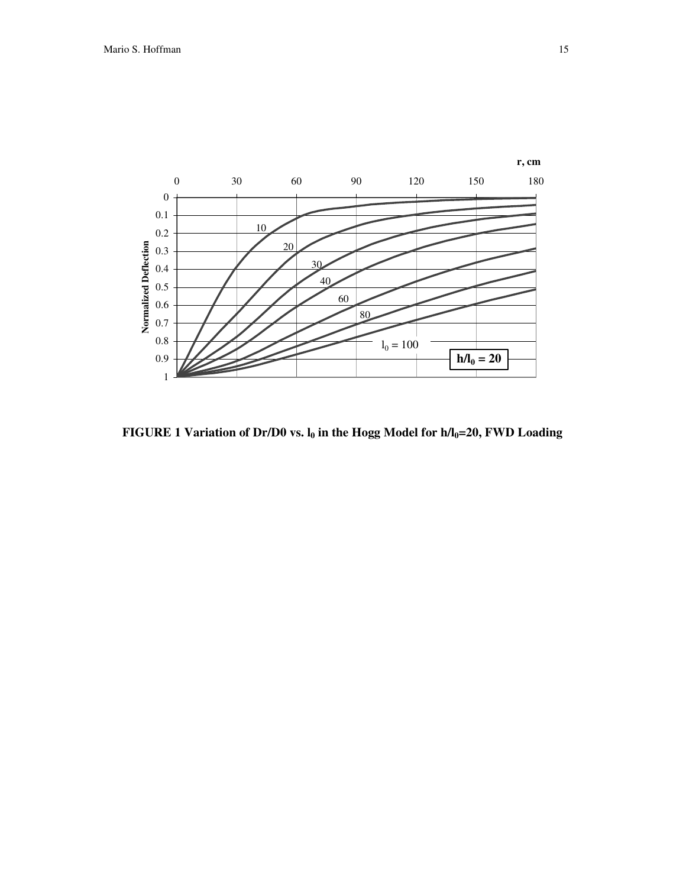

**FIGURE 1 Variation of Dr/D0 vs. l<sup>0</sup> in the Hogg Model for h/l0=20, FWD Loading**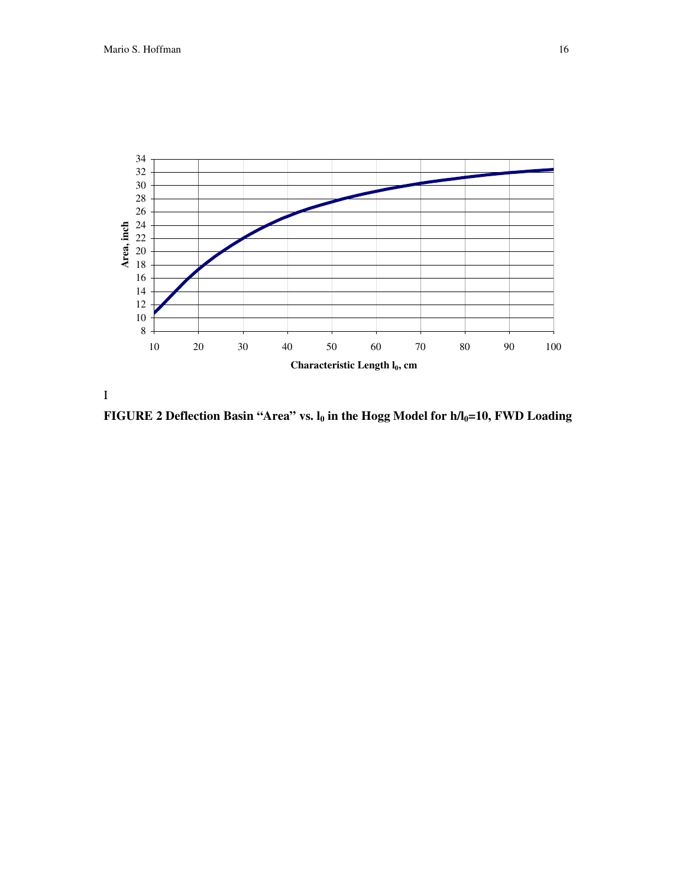

I

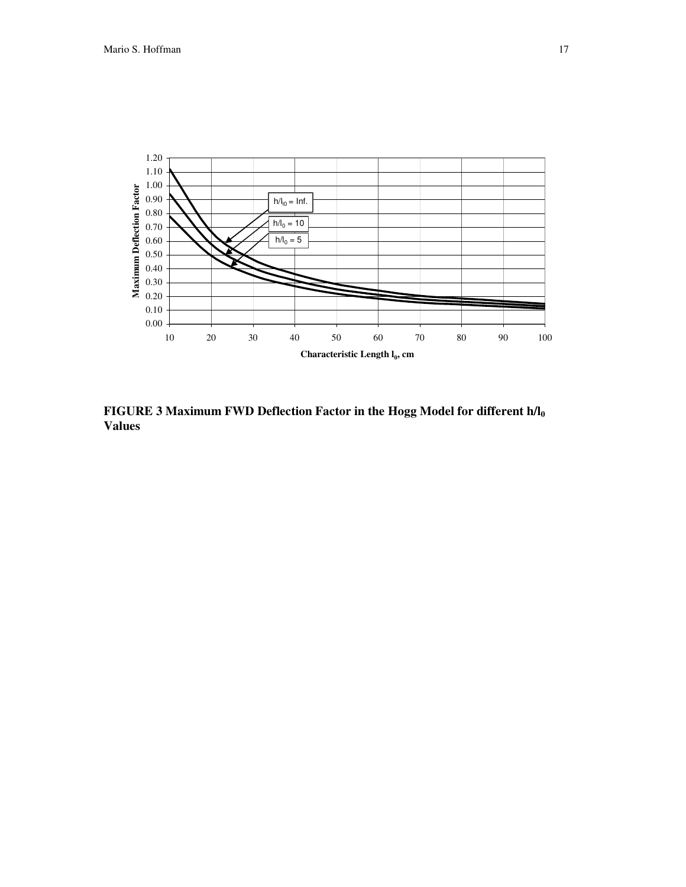

**FIGURE 3 Maximum FWD Deflection Factor in the Hogg Model for different h/l<sup>0</sup> Values**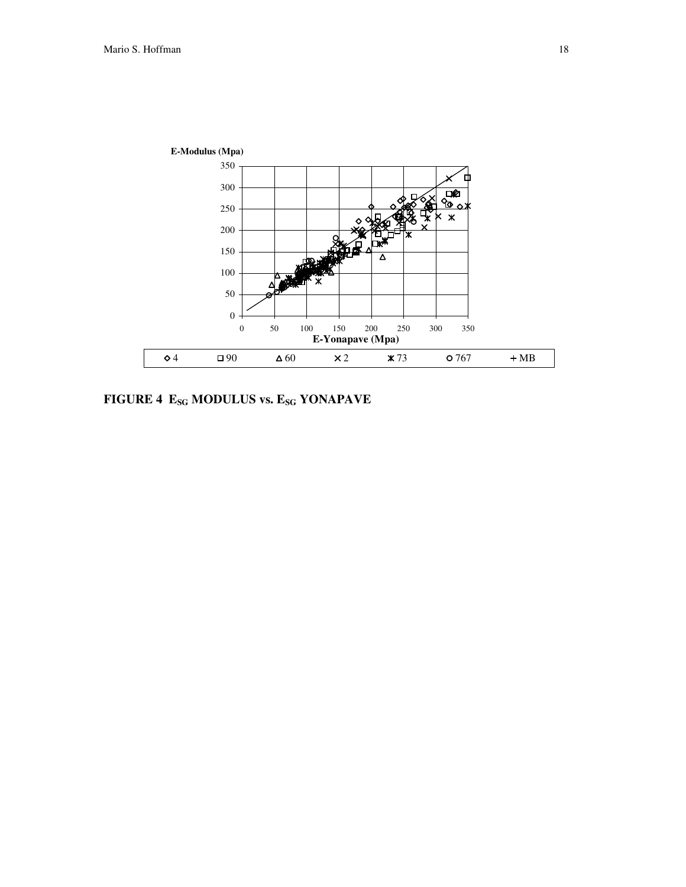

**FIGURE 4 ESG MODULUS vs. ESG YONAPAVE**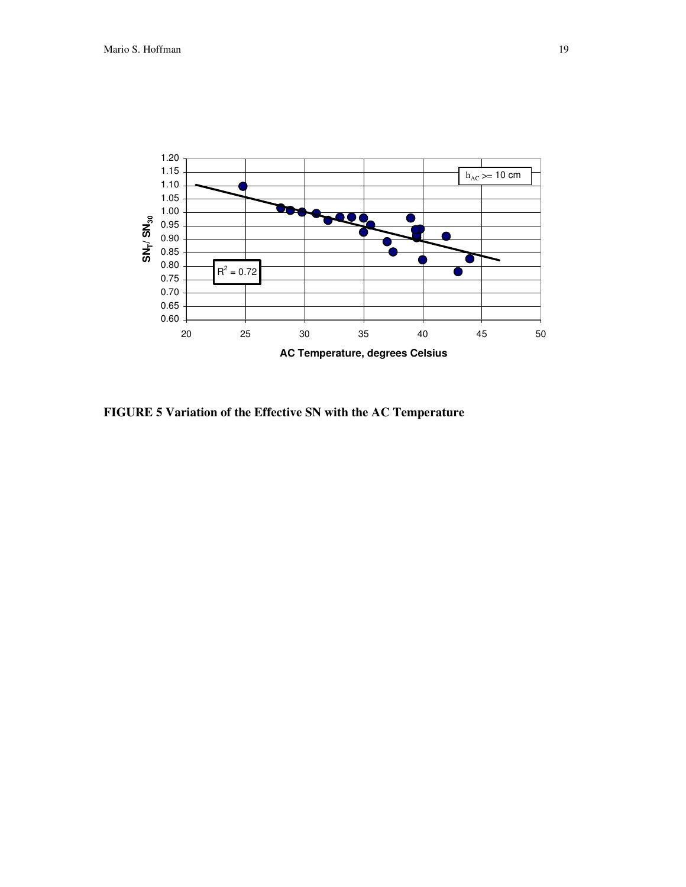

**FIGURE 5 Variation of the Effective SN with the AC Temperature**